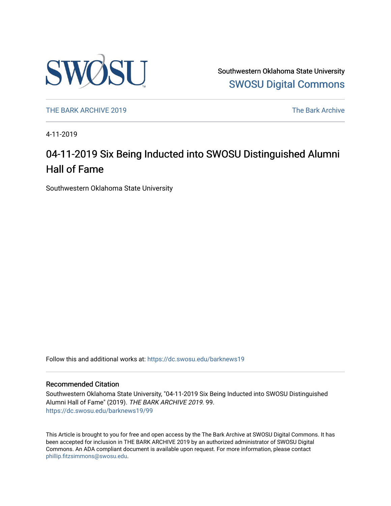

Southwestern Oklahoma State University [SWOSU Digital Commons](https://dc.swosu.edu/) 

[THE BARK ARCHIVE 2019](https://dc.swosu.edu/barknews19) The Bark Archive

4-11-2019

### 04-11-2019 Six Being Inducted into SWOSU Distinguished Alumni Hall of Fame

Southwestern Oklahoma State University

Follow this and additional works at: [https://dc.swosu.edu/barknews19](https://dc.swosu.edu/barknews19?utm_source=dc.swosu.edu%2Fbarknews19%2F99&utm_medium=PDF&utm_campaign=PDFCoverPages)

#### Recommended Citation

Southwestern Oklahoma State University, "04-11-2019 Six Being Inducted into SWOSU Distinguished Alumni Hall of Fame" (2019). THE BARK ARCHIVE 2019. 99. [https://dc.swosu.edu/barknews19/99](https://dc.swosu.edu/barknews19/99?utm_source=dc.swosu.edu%2Fbarknews19%2F99&utm_medium=PDF&utm_campaign=PDFCoverPages) 

This Article is brought to you for free and open access by the The Bark Archive at SWOSU Digital Commons. It has been accepted for inclusion in THE BARK ARCHIVE 2019 by an authorized administrator of SWOSU Digital Commons. An ADA compliant document is available upon request. For more information, please contact [phillip.fitzsimmons@swosu.edu](mailto:phillip.fitzsimmons@swosu.edu).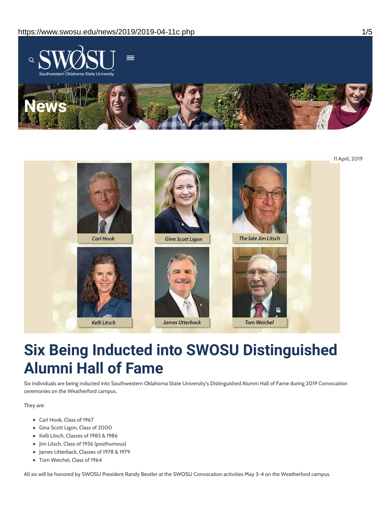



## **Six Being Inducted into SWOSU Distinguished Alumni Hall of Fame**

Six individuals are being inducted into Southwestern Oklahoma State University's Distinguished Alumni Hall of Fame during 2019 Convocation ceremonies on the Weatherford campus.

They are:

- Carl Hook, Class of 1967
- Gina Scott Ligon, Class of 2000
- Kelli Litsch, Classes of 1985 & 1986
- Jim Litsch, Class of 1956 (posthumous)
- James Utterback, Classes of 1978 & 1979
- Tom Weichel, Class of 1964

All six will be honored by SWOSU President Randy Beutler at the SWOSU Convocation activities May 3-4 on the Weatherford campus.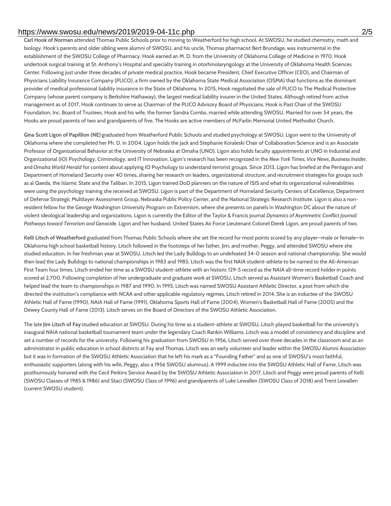#### https://www.swosu.edu/news/2019/2019-04-11c.php 2/5

**Carl Hook of Norman** attended Thomas Public Schools prior to moving to Weatherford for high school. At SWOSU, he studied chemistry, math and biology. Hook's parents and older sibling were alumni of SWOSU, and his uncle, Thomas pharmacist Bert Brundage, was instrumental in the establishment of the SWOSU College of Pharmacy. Hook earned an M. D. from the University of Oklahoma College of Medicine in 1970. Hook undertook surgical training at St. Anthony's Hospital and specialty training in otorhinolaryngology at the University of Oklahoma Health Sciences Center. Following just under three decades of private medical practice, Hook became President, Chief Executive Officer (CEO), and Chairman of Physicians Liability Insurance Company (PLICO), a firm owned by the Oklahoma State Medical Association (OSMA) that functions as the dominant provider of medical professional liability insurance in the State of Oklahoma. In 2015, Hook negotiated the sale of PLICO to The Medical Protective Company (whose parent company is Berkshire Hathaway), the largest medical liability insurer in the United States. Although retired from active management as of 2017, Hook continues to serve as Chairman of the PLICO Advisory Board of Physicians. Hook is Past Chair of the SWOSU Foundation, Inc. Board of Trustees. Hook and his wife, the former Sandra Combs, married while attending SWOSU. Married for over 54 years, the Hooks are proud parents of two and grandparents of five. The Hooks are active members of McFarlin Memorial United Methodist Church.

**Gina Scott Ligon of Papillion (NE)** graduated from Weatherford Public Schools and studied psychology at SWOSU. Ligon went to the University of Oklahoma where she completed her Ph. D. in 2004. Ligon holds the Jack and Stephanie Koraleski Chair of Collaboration Science and is an Associate Professor of Organizational Behavior at the University of Nebraska at Omaha (UNO). Ligon also holds faculty appointments at UNO in Industrial and Organizational (IO) Psychology, Criminology, and IT Innovation. Ligon's research has been recognized in the *New York Times*, *Vice News*, *Business Insider*, and *Omaha World Herald* for content about applying IO Psychology to understand terrorist groups. Since 2013, Ligon has briefed at the Pentagon and Department of Homeland Security over 40 times, sharing her research on leaders, organizational structure, and recruitment strategies for groups such as al Qaeda, the Islamic State and the Taliban. In 2015, Ligon trained DoD planners on the nature of ISIS and what its organizational vulnerabilities were using the psychology training she received at SWOSU. Ligon is part of the Department of Homeland Security Centers of Excellence, Department of Defense Strategic Multilayer Assessment Group, Nebraska Public Policy Center, and the National Strategic Research Institute. Ligon is also a nonresident fellow for the George Washington University Program on Extremism, where she presents on panels in Washington DC about the nature of violent ideological leadership and organizations. Ligon is currently the Editor of the Taylor & Francis journal *Dynamics of Asymmetric Conflict Journal: Pathways toward Terrorism and Genocide.* Ligon and her husband, United States Air Force Lieutenant Colonel Derek Ligon, are proud parents of two.

**Kelli Litsch of Weatherford** graduated from Thomas Public Schools where she set the record for most points scored by any player—male or female—in Oklahoma high school basketball history. Litsch followed in the footsteps of her father, Jim, and mother, Peggy, and attended SWOSU where she studied education. In her freshman year at SWOSU, Litsch led the Lady Bulldogs to an undefeated 34-0 season and national championship. She would then lead the Lady Bulldogs to national championships in 1983 and 1985. Litsch was the first NAIA student-athlete to be named to the All-American First Team four times. Litsch ended her time as a SWOSU student-athlete with an historic 129-5 record as the NAIA all-time record holder in points scored at 2,700. Following completion of her undergraduate and graduate work at SWOSU, Litsch served as Assistant Women's Basketball Coach and helped lead the team to championships in 1987 and 1990. In 1995, Litsch was named SWOSU Assistant Athletic Director, a post from which she directed the institution's compliance with NCAA and other applicable regulatory regimes. Litsch retired in 2014. She is an inductee of the SWOSU Athletic Hall of Fame (1990), NAIA Hall of Fame (1991), Oklahoma Sports Hall of Fame (2004), Women's Basketball Hall of Fame (2005) and the Dewey County Hall of Fame (2013). Litsch serves on the Board of Directors of the SWOSU Athletic Association.

The late **Jim Litsch of Fay** studied education at SWOSU. During his time as a student-athlete at SWOSU, Litsch played basketball for the university's inaugural NAIA national basketball tournament team under the legendary Coach Rankin Williams. Litsch was a model of consistency and discipline and set a number of records for the university. Following his graduation from SWOSU in 1956, Litsch served over three decades in the classroom and as an administrator in public education in school districts at Fay and Thomas. Litsch was an early volunteer and leader within the SWOSU Alumni Association but it was in formation of the SWOSU Athletic Association that he left his mark as a "Founding Father" and as one of SWOSU's most faithful, enthusiastic supporters (along with his wife, Peggy, also a 1956 SWOSU alumnus). A 1999 inductee into the SWOSU Athletic Hall of Fame, Litsch was posthumously honored with the Cecil Perkins Service Award by the SWOSU Athletic Association in 2017. Litsch and Peggy were proud parents of Kelli (SWOSU Classes of 1985 & 1986) and Staci (SWOSU Class of 1996) and grandparents of Luke Lewallen (SWOSU Class of 2018) and Trent Lewallen (current SWOSU student).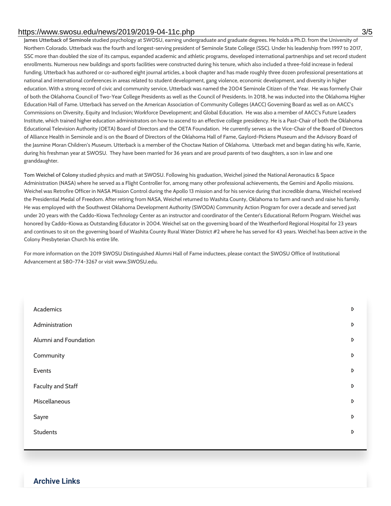#### https://www.swosu.edu/news/2019/2019-04-11c.php 3/5

**James Utterback of Seminole** studied psychology at SWOSU, earning undergraduate and graduate degrees. He holds a Ph.D. from the University of Northern Colorado. Utterback was the fourth and longest-serving president of Seminole State College (SSC). Under his leadership from 1997 to 2017, SSC more than doubled the size of its campus, expanded academic and athletic programs, developed international partnerships and set record student enrollments. Numerous new buildings and sports facilities were constructed during his tenure, which also included a three-fold increase in federal funding. Utterback has authored or co-authored eight journal articles, a book chapter and has made roughly three dozen professional presentations at national and international conferences in areas related to student development, gang violence, economic development, and diversity in higher education. With a strong record of civic and community service, Utterback was named the 2004 Seminole Citizen of the Year. He was formerly Chair of both the Oklahoma Council of Two-Year College Presidents as well as the Council of Presidents. In 2018, he was inducted into the Oklahoma Higher Education Hall of Fame. Utterback has served on the American Association of Community Colleges (AACC) Governing Board as well as on AACC's Commissions on Diversity, Equity and Inclusion; Workforce Development; and Global Education. He was also a member of AACC's Future Leaders Institute, which trained higher education administrators on how to ascend to an effective college presidency. He is a Past-Chair of both the Oklahoma Educational Television Authority (OETA) Board of Directors and the OETA Foundation. He currently serves as the Vice-Chair of the Board of Directors of Alliance Health in Seminole and is on the Board of Directors of the Oklahoma Hall of Fame, Gaylord-Pickens Museum and the Advisory Board of the Jasmine Moran Children's Museum. Utterback is a member of the Choctaw Nation of Oklahoma. Utterback met and began dating his wife, Karrie, during his freshman year at SWOSU. They have been married for 36 years and are proud parents of two daughters, a son in law and one granddaughter.

**Tom Weichel of Colony** studied physics and math at SWOSU. Following his graduation, Weichel joined the National Aeronautics & Space Administration (NASA) where he served as a Flight Controller for, among many other professional achievements, the Gemini and Apollo missions. Weichel was Retrofire Officer in NASA Mission Control during the Apollo 13 mission and for his service during that incredible drama, Weichel received the Presidential Medal of Freedom. After retiring from NASA, Weichel returned to Washita County, Oklahoma to farm and ranch and raise his family. He was employed with the Southwest Oklahoma Development Authority (SWODA) Community Action Program for over a decade and served just under 20 years with the Caddo-Kiowa Technology Center as an instructor and coordinator of the Center's Educational Reform Program. Weichel was honored by Caddo-Kiowa as Outstanding Educator in 2004. Weichel sat on the governing board of the Weatherford Regional Hospital for 23 years and continues to sit on the governing board of Washita County Rural Water District #2 where he has served for 43 years. Weichel has been active in the Colony Presbyterian Church his entire life.

For more information on the 2019 SWOSU Distinguished Alumni Hall of Fame inductees, please contact the SWOSU Office of Institutional Advancement at 580-774-3267 or visit www.SWOSU.edu.

| Academics                | $\triangleright$ |
|--------------------------|------------------|
| Administration           | D                |
| Alumni and Foundation    | D                |
| Community                | D                |
| Events                   | $\mathsf D$      |
| <b>Faculty and Staff</b> | D                |
| Miscellaneous            | D                |
| Sayre                    | D                |
| <b>Students</b>          | D                |

#### **Archive Links**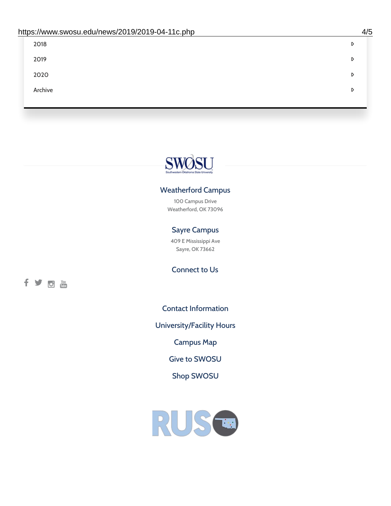| 2018    | D |
|---------|---|
| 2019    | D |
| 2020    | D |
| Archive | D |
|         |   |

# SWOSU

#### Weatherford Campus

100 Campus Drive Weatherford, OK 73096

#### Sayre Campus

409 E Mississippi Ave Sayre, OK 73662

Connect to Us

fyom

Contact [Information](https://www.swosu.edu/about/contact.php)

[University/Facility](https://www.swosu.edu/about/operating-hours.php) Hours

[Campus](https://map.concept3d.com/?id=768#!ct/10964,10214,10213,10212,10205,10204,10203,10202,10136,10129,10128,0,31226,10130,10201,10641,0) Map

Give to [SWOSU](https://standingfirmly.com/donate)

Shop [SWOSU](https://shopswosu.merchorders.com/)